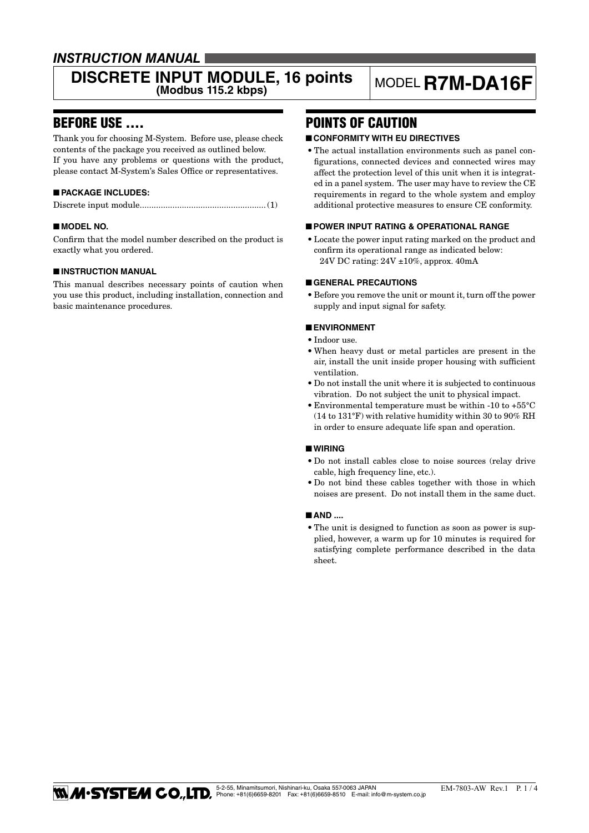# *INSTRUCTION MANUAL*

# **DISCRETE INPUT MODULE, 16 points** MODEL **R7M-DA16F**

# BEFORE USE ....

Thank you for choosing M-System. Before use, please check contents of the package you received as outlined below. If you have any problems or questions with the product, please contact M-System's Sales Office or representatives.

#### ■ **PACKAGE INCLUDES:**

|--|--|--|--|

#### ■ **MODEL NO.**

Confirm that the model number described on the product is exactly what you ordered.

#### ■ **INSTRUCTION MANUAL**

This manual describes necessary points of caution when you use this product, including installation, connection and basic maintenance procedures.

# POINTS OF CAUTION

#### ■ **CONFORMITY WITH EU DIRECTIVES**

• The actual installation environments such as panel configurations, connected devices and connected wires may affect the protection level of this unit when it is integrated in a panel system. The user may have to review the CE requirements in regard to the whole system and employ additional protective measures to ensure CE conformity.

#### ■ **POWER INPUT RATING & OPERATIONAL RANGE**

• Locate the power input rating marked on the product and confirm its operational range as indicated below: 24V DC rating: 24V ±10%, approx. 40mA

#### ■ **GENERAL PRECAUTIONS**

• Before you remove the unit or mount it, turn off the power supply and input signal for safety.

#### ■ **ENVIRONMENT**

- • Indoor use.
- • When heavy dust or metal particles are present in the air, install the unit inside proper housing with sufficient ventilation.
- • Do not install the unit where it is subjected to continuous vibration. Do not subject the unit to physical impact.
- $\bullet$  Environmental temperature must be within -10 to +55°C (14 to 131°F) with relative humidity within 30 to 90% RH in order to ensure adequate life span and operation.

#### ■ **WIRING**

- • Do not install cables close to noise sources (relay drive cable, high frequency line, etc.).
- Do not bind these cables together with those in which noises are present. Do not install them in the same duct.

#### ■ **AND ....**

• The unit is designed to function as soon as power is supplied, however, a warm up for 10 minutes is required for satisfying complete performance described in the data sheet.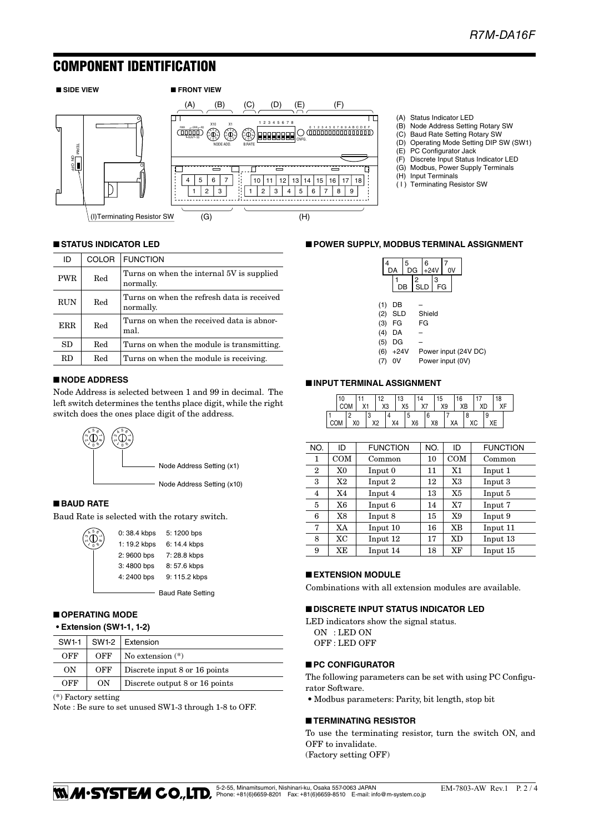# COMPONENT IDENTIFICATION



- (A) Status Indicator LED
- (B) Node Address Setting Rotary SW
- (C) Baud Rate Setting Rotary SW (D) Operating Mode Setting DIP SW (SW1)
- (E) PC Configurator Jack
- (F) Discrete Input Status Indicator LED
- (G) Modbus, Power Supply Terminals
- (H) Input Terminals
- ( I ) Terminating Resistor SW

#### ■ **STATUS INDICATOR LED**

| ID         | <b>COLOR</b> | <b>FUNCTION</b>                                         |
|------------|--------------|---------------------------------------------------------|
| <b>PWR</b> | Red          | Turns on when the internal 5V is supplied<br>normally.  |
| <b>RUN</b> | Red          | Turns on when the refresh data is received<br>normally. |
| <b>ERR</b> | Red          | Turns on when the received data is abnor-<br>mal.       |
| SD         | Red          | Turns on when the module is transmitting.               |
| RD         | Red          | Turns on when the module is receiving.                  |

#### ■ **NODE ADDRESS**

Node Address is selected between 1 and 99 in decimal. The left switch determines the tenths place digit, while the right switch does the ones place digit of the address.



#### ■ **BAUD RATE**

ه<br>م

Baud Rate is selected with the rotary switch.

| $\lambda$ 5 $\sigma$ | 0:38.4 kbps  | 5:1200 bps               |
|----------------------|--------------|--------------------------|
|                      | 1: 19.2 kbps | 6: 14.4 kbps             |
|                      | 2: 9600 bps  | 7:28.8 kbps              |
|                      | 3:4800 bps   | 8:57.6 kbps              |
|                      | 4:2400 bps   | 9: 115.2 kbps            |
|                      |              | <b>Baud Rate Setting</b> |

#### ■ **OPERATING MODE**

#### **• Extension (SW1-1, 1-2)**

| SW1-1 |     | $SW1-2$ Extension              |
|-------|-----|--------------------------------|
| OFF   | OFF | No extension $(*)$             |
| OΝ    | OFF | Discrete input 8 or 16 points  |
| OFF   | ON  | Discrete output 8 or 16 points |

(\*) Factory setting

Note : Be sure to set unused SW1-3 through 1-8 to OFF.

### ■ **POWER SUPPLY, MODBUS TERMINAL ASSIGNMENT**



| $(4)$ DA   | -                    |
|------------|----------------------|
| $(5)$ DG   | -                    |
| $(6) +24V$ | Power input (24V DC) |

(7) 0V Power input (0V)

# ■ **INPUT TERMINAL ASSIGNMENT**

|  | 10 |    |    | $\sim$ | 13             |   |    |    | 15 |    | 16 |    |    |   | 18 |  |
|--|----|----|----|--------|----------------|---|----|----|----|----|----|----|----|---|----|--|
|  |    | ٧i |    | X3     | X <sub>5</sub> |   | X7 |    |    | X9 | XB |    | XC |   |    |  |
|  |    |    | Ñ  |        |                | C |    | b  |    |    |    |    |    | Q |    |  |
|  |    | X0 | v٥ |        | X4             |   | X6 | X8 |    | XА |    | ХC |    |   |    |  |

| NO.          | ID        | <b>FUNCTION</b> | NO. | ID        | <b>FUNCTION</b> |
|--------------|-----------|-----------------|-----|-----------|-----------------|
| 1            | COM       | Common          | 10  | COM       | Common          |
| $\mathbf{2}$ | X0        | Input 0         | 11  | X1        | Input 1         |
| 3            | X2        | Input 2         | 12  | X3        | Input 3         |
| 4            | X4        | Input 4         | 13  | X5        | Input 5         |
| 5            | X6        | Input 6         | 14  | X7        | Input 7         |
| 6            | X8        | Input 8         | 15  | X9        | Input 9         |
| 7            | XA        | Input 10        | 16  | XB        | Input 11        |
| 8            | <b>XC</b> | Input 12        | 17  | <b>XD</b> | Input 13        |
| 9            | ХE        | Input 14        | 18  | XF        | Input 15        |

#### ■ **EXTENSION MODULE**

Combinations with all extension modules are available.

#### ■ **DISCRETE INPUT STATUS INDICATOR LED**

LED indicators show the signal status. ON : LED ON OFF : LED OFF

#### ■ **PC CONFIGURATOR**

The following parameters can be set with using PC Configurator Software.

• Modbus parameters: Parity, bit length, stop bit

#### ■ **TERMINATING RESISTOR**

To use the terminating resistor, turn the switch ON, and OFF to invalidate. (Factory setting OFF)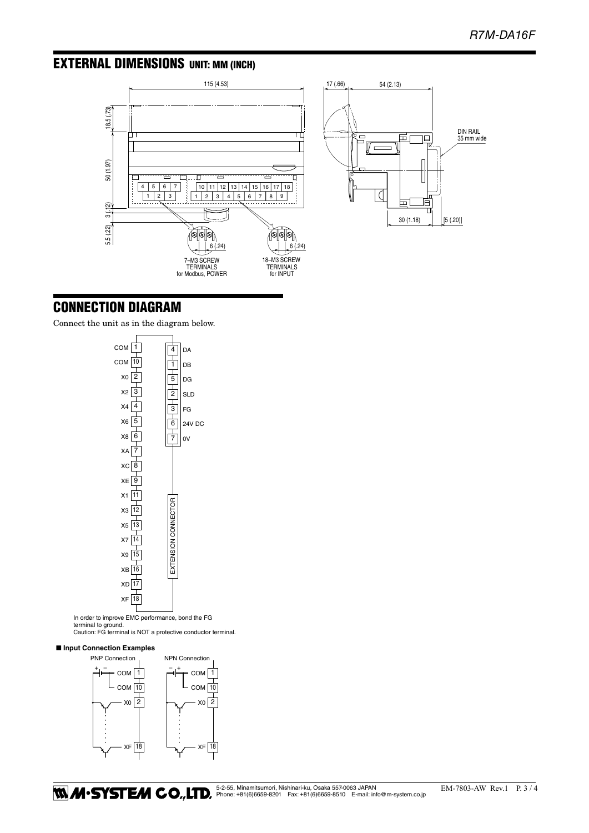# EXTERNAL DIMENSIONS unit: mm (inch)





# CONNECTION DIAGRAM

Connect the unit as in the diagram below.



In order to improve EMC performance, bond the FG terminal to ground.

Caution: FG terminal is NOT a protective conductor terminal.

#### ■ **Input Connection Examples**